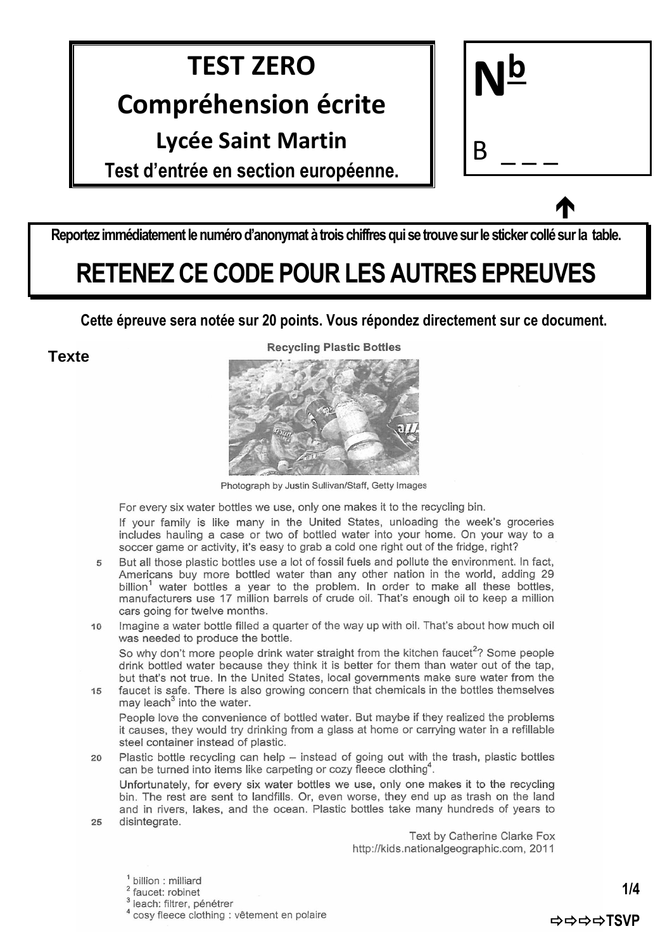### **TEST ZERO**

#### **Compréhension écrite**

#### **Lycée Saint Martin**

**Test d'entrée en section européenne.** 

| $N_{\overline{p}}$ |  |
|--------------------|--|
| B                  |  |

 $\bullet$ 

**Reportez immédiatement le numéro d'anonymat à trois chiffres qui se trouve sur le sticker collé sur la table.**

# **RETENEZ CE CODE POUR LES AUTRES EPREUVES**

**Cette épreuve sera notée sur 20 points. Vous répondez directement sur ce document.**

**Texte**

**Recycling Plastic Bottles** 



Photograph by Justin Sullivan/Staff, Getty Images

For every six water bottles we use, only one makes it to the recycling bin.

If your family is like many in the United States, unloading the week's groceries includes hauling a case or two of bottled water into your home. On your way to a soccer game or activity, it's easy to grab a cold one right out of the fridge, right?

But all those plastic bottles use a lot of fossil fuels and pollute the environment. In fact,  $\overline{5}$ Americans buy more bottled water than any other nation in the world, adding 29 billion<sup>1</sup> water bottles a year to the problem. In order to make all these bottles, manufacturers use 17 million barrels of crude oil. That's enough oil to keep a million cars going for twelve months.

Imagine a water bottle filled a guarter of the way up with oil. That's about how much oil  $10$ was needed to produce the bottle.

So why don't more people drink water straight from the kitchen faucet<sup>2</sup>? Some people drink bottled water because they think it is better for them than water out of the tap, but that's not true. In the United States, local governments make sure water from the

faucet is safe. There is also growing concern that chemicals in the bottles themselves  $15$ may leach<sup>3</sup> into the water.

People love the convenience of bottled water. But maybe if they realized the problems it causes, they would try drinking from a glass at home or carrying water in a refillable steel container instead of plastic.

 $20$ Plastic bottle recycling can help - instead of going out with the trash, plastic bottles can be turned into items like carpeting or cozy fleece clothing<sup>4</sup>.

Unfortunately, for every six water bottles we use, only one makes it to the recycling bin. The rest are sent to landfills. Or, even worse, they end up as trash on the land and in rivers, lakes, and the ocean. Plastic bottles take many hundreds of years to disintegrate.  $25$ 

> Text by Catherine Clarke Fox http://kids.nationalgeographic.com. 2011

billion : milliard

faucet: robinet

<sup>3</sup> leach: filtrer, pénétrer

<sup>4</sup> cosy fleece clothing : vêtement en polaire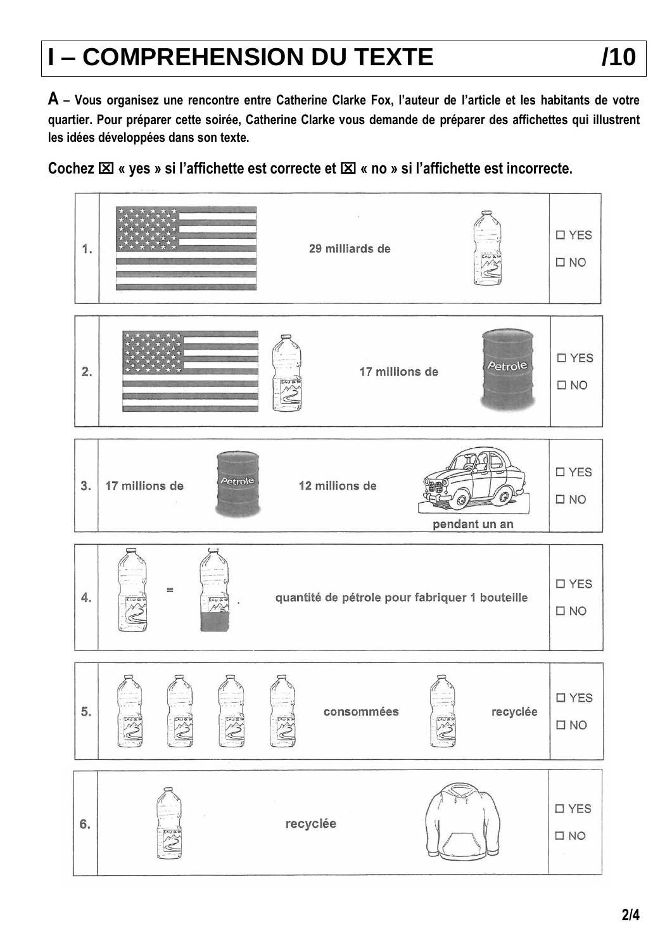# **I – COMPREHENSION DU TEXTE /10**

**A – Vous organisez une rencontre entre Catherine Clarke Fox, l'auteur de l'article et les habitants de votre quartier. Pour préparer cette soirée, Catherine Clarke vous demande de préparer des affichettes qui illustrent les idées développées dans son texte.**

**Cochez « yes » si l'affichette est correcte et « no » si l'affichette est incorrecte.**

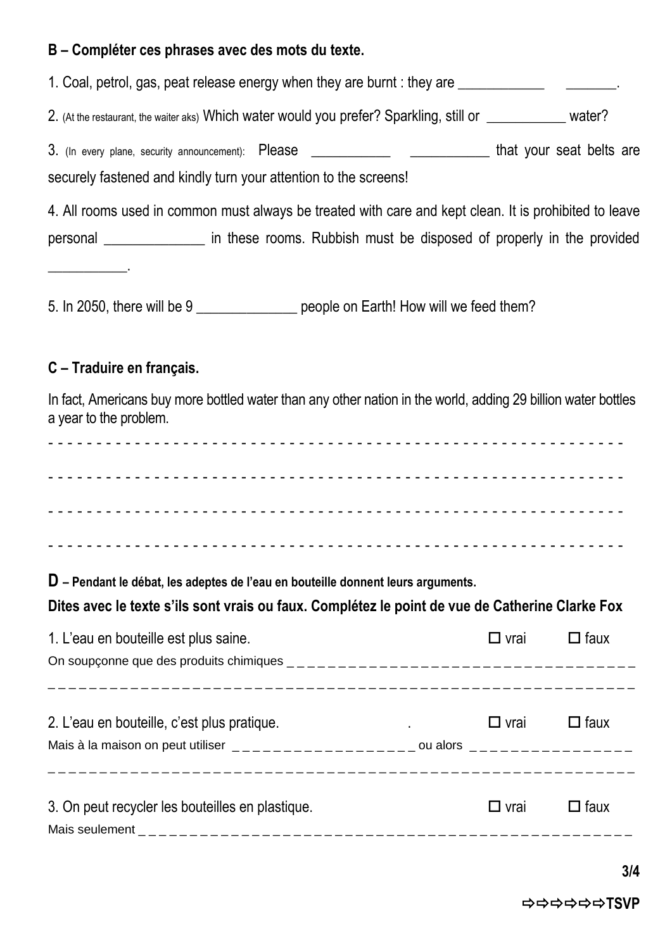#### **B – Compléter ces phrases avec des mots du texte.**

| 1. Coal, petrol, gas, peat release energy when they are burnt : they are _______________________.<br>2. (At the restaurant, the waiter aks) Which water would you prefer? Sparkling, still or ___________ water?<br>3. (In every plane, security announcement): Please ______________________________that your seat belts are<br>securely fastened and kindly turn your attention to the screens!<br>4. All rooms used in common must always be treated with care and kept clean. It is prohibited to leave<br>personal __________________ in these rooms. Rubbish must be disposed of properly in the provided<br><u> 1989 - Johann Barnett, f</u><br>5. In 2050, there will be 9 ________________ people on Earth! How will we feed them?<br>C - Traduire en français.<br>In fact, Americans buy more bottled water than any other nation in the world, adding 29 billion water bottles<br>a year to the problem.<br>D – Pendant le débat, les adeptes de l'eau en bouteille donnent leurs arguments.<br>Dites avec le texte s'ils sont vrais ou faux. Complétez le point de vue de Catherine Clarke Fox |  |  |  |  |  |  |  |  |
|------------------------------------------------------------------------------------------------------------------------------------------------------------------------------------------------------------------------------------------------------------------------------------------------------------------------------------------------------------------------------------------------------------------------------------------------------------------------------------------------------------------------------------------------------------------------------------------------------------------------------------------------------------------------------------------------------------------------------------------------------------------------------------------------------------------------------------------------------------------------------------------------------------------------------------------------------------------------------------------------------------------------------------------------------------------------------------------------------------|--|--|--|--|--|--|--|--|
|                                                                                                                                                                                                                                                                                                                                                                                                                                                                                                                                                                                                                                                                                                                                                                                                                                                                                                                                                                                                                                                                                                            |  |  |  |  |  |  |  |  |
|                                                                                                                                                                                                                                                                                                                                                                                                                                                                                                                                                                                                                                                                                                                                                                                                                                                                                                                                                                                                                                                                                                            |  |  |  |  |  |  |  |  |
|                                                                                                                                                                                                                                                                                                                                                                                                                                                                                                                                                                                                                                                                                                                                                                                                                                                                                                                                                                                                                                                                                                            |  |  |  |  |  |  |  |  |
|                                                                                                                                                                                                                                                                                                                                                                                                                                                                                                                                                                                                                                                                                                                                                                                                                                                                                                                                                                                                                                                                                                            |  |  |  |  |  |  |  |  |
|                                                                                                                                                                                                                                                                                                                                                                                                                                                                                                                                                                                                                                                                                                                                                                                                                                                                                                                                                                                                                                                                                                            |  |  |  |  |  |  |  |  |
|                                                                                                                                                                                                                                                                                                                                                                                                                                                                                                                                                                                                                                                                                                                                                                                                                                                                                                                                                                                                                                                                                                            |  |  |  |  |  |  |  |  |
|                                                                                                                                                                                                                                                                                                                                                                                                                                                                                                                                                                                                                                                                                                                                                                                                                                                                                                                                                                                                                                                                                                            |  |  |  |  |  |  |  |  |
|                                                                                                                                                                                                                                                                                                                                                                                                                                                                                                                                                                                                                                                                                                                                                                                                                                                                                                                                                                                                                                                                                                            |  |  |  |  |  |  |  |  |
|                                                                                                                                                                                                                                                                                                                                                                                                                                                                                                                                                                                                                                                                                                                                                                                                                                                                                                                                                                                                                                                                                                            |  |  |  |  |  |  |  |  |
|                                                                                                                                                                                                                                                                                                                                                                                                                                                                                                                                                                                                                                                                                                                                                                                                                                                                                                                                                                                                                                                                                                            |  |  |  |  |  |  |  |  |
|                                                                                                                                                                                                                                                                                                                                                                                                                                                                                                                                                                                                                                                                                                                                                                                                                                                                                                                                                                                                                                                                                                            |  |  |  |  |  |  |  |  |
|                                                                                                                                                                                                                                                                                                                                                                                                                                                                                                                                                                                                                                                                                                                                                                                                                                                                                                                                                                                                                                                                                                            |  |  |  |  |  |  |  |  |
|                                                                                                                                                                                                                                                                                                                                                                                                                                                                                                                                                                                                                                                                                                                                                                                                                                                                                                                                                                                                                                                                                                            |  |  |  |  |  |  |  |  |
|                                                                                                                                                                                                                                                                                                                                                                                                                                                                                                                                                                                                                                                                                                                                                                                                                                                                                                                                                                                                                                                                                                            |  |  |  |  |  |  |  |  |
|                                                                                                                                                                                                                                                                                                                                                                                                                                                                                                                                                                                                                                                                                                                                                                                                                                                                                                                                                                                                                                                                                                            |  |  |  |  |  |  |  |  |
|                                                                                                                                                                                                                                                                                                                                                                                                                                                                                                                                                                                                                                                                                                                                                                                                                                                                                                                                                                                                                                                                                                            |  |  |  |  |  |  |  |  |
|                                                                                                                                                                                                                                                                                                                                                                                                                                                                                                                                                                                                                                                                                                                                                                                                                                                                                                                                                                                                                                                                                                            |  |  |  |  |  |  |  |  |

| 1. L'eau en bouteille est plus saine.                                                                                                                                                                                                                                                          | $\square$ vrai | $\Box$ faux |
|------------------------------------------------------------------------------------------------------------------------------------------------------------------------------------------------------------------------------------------------------------------------------------------------|----------------|-------------|
|                                                                                                                                                                                                                                                                                                |                |             |
|                                                                                                                                                                                                                                                                                                |                |             |
| 2. L'eau en bouteille, c'est plus pratique.                                                                                                                                                                                                                                                    | $\Box$ vrai    | $\Box$ faux |
| Mais à la maison on peut utiliser $\frac{1}{2}$ = $\frac{1}{2}$ = $\frac{1}{2}$ = $\frac{1}{2}$ = $\frac{1}{2}$ = $\frac{1}{2}$ = $\frac{1}{2}$ = $\frac{1}{2}$ = $\frac{1}{2}$ = $\frac{1}{2}$ = $\frac{1}{2}$ = $\frac{1}{2}$ = $\frac{1}{2}$ = $\frac{1}{2}$ = $\frac{1}{2}$ = $\frac{1}{2$ |                |             |
|                                                                                                                                                                                                                                                                                                |                |             |
| 3. On peut recycler les bouteilles en plastique.                                                                                                                                                                                                                                               | $\square$ vrai | $\Box$ faux |
|                                                                                                                                                                                                                                                                                                |                |             |

**TSVP**